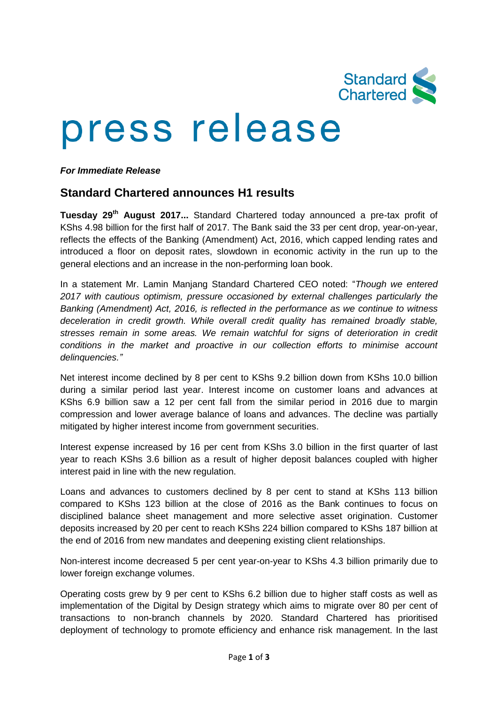

# press release

### *For Immediate Release*

## **Standard Chartered announces H1 results**

**Tuesday 29 th August 2017...** Standard Chartered today announced a pre-tax profit of KShs 4.98 billion for the first half of 2017. The Bank said the 33 per cent drop, year-on-year, reflects the effects of the Banking (Amendment) Act, 2016, which capped lending rates and introduced a floor on deposit rates, slowdown in economic activity in the run up to the general elections and an increase in the non-performing loan book.

In a statement Mr. Lamin Manjang Standard Chartered CEO noted: "*Though we entered 2017 with cautious optimism, pressure occasioned by external challenges particularly the Banking (Amendment) Act, 2016, is reflected in the performance as we continue to witness deceleration in credit growth. While overall credit quality has remained broadly stable, stresses remain in some areas. We remain watchful for signs of deterioration in credit conditions in the market and proactive in our collection efforts to minimise account delinquencies."*

Net interest income declined by 8 per cent to KShs 9.2 billion down from KShs 10.0 billion during a similar period last year. Interest income on customer loans and advances at KShs 6.9 billion saw a 12 per cent fall from the similar period in 2016 due to margin compression and lower average balance of loans and advances. The decline was partially mitigated by higher interest income from government securities.

Interest expense increased by 16 per cent from KShs 3.0 billion in the first quarter of last year to reach KShs 3.6 billion as a result of higher deposit balances coupled with higher interest paid in line with the new regulation.

Loans and advances to customers declined by 8 per cent to stand at KShs 113 billion compared to KShs 123 billion at the close of 2016 as the Bank continues to focus on disciplined balance sheet management and more selective asset origination. Customer deposits increased by 20 per cent to reach KShs 224 billion compared to KShs 187 billion at the end of 2016 from new mandates and deepening existing client relationships.

Non-interest income decreased 5 per cent year-on-year to KShs 4.3 billion primarily due to lower foreign exchange volumes.

Operating costs grew by 9 per cent to KShs 6.2 billion due to higher staff costs as well as implementation of the Digital by Design strategy which aims to migrate over 80 per cent of transactions to non-branch channels by 2020. Standard Chartered has prioritised deployment of technology to promote efficiency and enhance risk management. In the last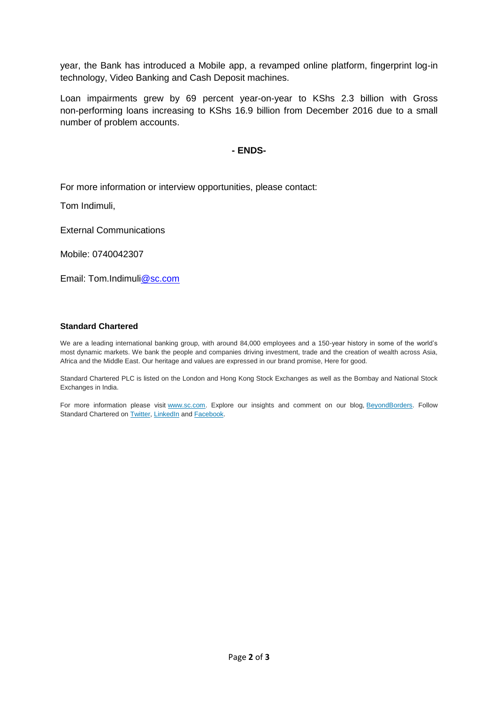year, the Bank has introduced a Mobile app, a revamped online platform, fingerprint log-in technology, Video Banking and Cash Deposit machines.

Loan impairments grew by 69 percent year-on-year to KShs 2.3 billion with Gross non-performing loans increasing to KShs 16.9 billion from December 2016 due to a small number of problem accounts.

#### **- ENDS-**

For more information or interview opportunities, please contact:

Tom Indimuli,

External Communications

Mobile: 0740042307

Email: Tom.Indimu[li@sc.com](mailto:wasim.benkhadra@sc.com)

#### **Standard Chartered**

We are a leading international banking group, with around 84,000 employees and a 150-year history in some of the world's most dynamic markets. We bank the people and companies driving investment, trade and the creation of wealth across Asia, Africa and the Middle East. Our heritage and values are expressed in our brand promise, Here for good.

Standard Chartered PLC is listed on the London and Hong Kong Stock Exchanges as well as the Bombay and National Stock Exchanges in India.

For more information please visit [www.sc.com.](https://thebridge.zone1.scb.net/external-link.jspa?url=http%3A%2F%2Fwww.sc.com%2F) Explore our insights and comment on our blog, [BeyondBorders.](https://thebridge.zone1.scb.net/external-link.jspa?url=https%3A%2F%2Fwww.sc.com%2FBeyondBorders%2F) Follow Standard Chartered on [Twitter,](https://thebridge.zone1.scb.net/external-link.jspa?url=https%3A%2F%2Ftwitter.com%2FStanChart) [LinkedIn](https://thebridge.zone1.scb.net/external-link.jspa?url=http%3A%2F%2Fwww.linkedin.com%2Fcompany%2Fstandard-chartered-bank) and [Facebook.](https://thebridge.zone1.scb.net/external-link.jspa?url=http%3A%2F%2Fwww.facebook.com%2Fstandardchartered)